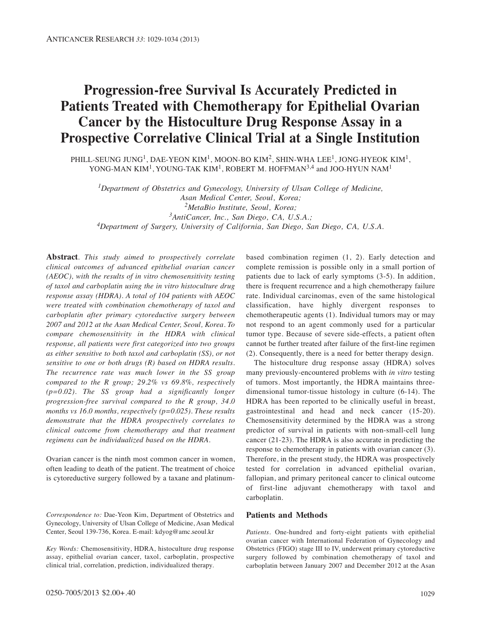# **Progression-free Survival Is Accurately Predicted in Patients Treated with Chemotherapy for Epithelial Ovarian Cancer by the Histoculture Drug Response Assay in a Prospective Correlative Clinical Trial at a Single Institution**

PHILL-SEUNG JUNG<sup>1</sup>, DAE-YEON KIM<sup>1</sup>, MOON-BO KIM<sup>2</sup>, SHIN-WHA LEE<sup>1</sup>, JONG-HYEOK KIM<sup>1</sup>, YONG-MAN KIM<sup>1</sup>, YOUNG-TAK KIM<sup>1</sup>, ROBERT M. HOFFMAN<sup>3,4</sup> and JOO-HYUN NAM<sup>1</sup>

*1Department of Obstetrics and Gynecology, University of Ulsan College of Medicine, Asan Medical Center, Seoul, Korea; 2MetaBio Institute, Seoul, Korea; 3AntiCancer, Inc., San Diego, CA, U.S.A.; 4Department of Surgery, University of California, San Diego, San Diego, CA, U.S.A.*

**Abstract***. This study aimed to prospectively correlate clinical outcomes of advanced epithelial ovarian cancer (AEOC), with the results of in vitro chemosensitivity testing of taxol and carboplatin using the in vitro histoculture drug response assay (HDRA). A total of 104 patients with AEOC were treated with combination chemotherapy of taxol and carboplatin after primary cytoreductive surgery between 2007 and 2012 at the Asan Medical Center, Seoul, Korea. To compare chemosensitivity in the HDRA with clinical response, all patients were first categorized into two groups as either sensitive to both taxol and carboplatin (SS), or not sensitive to one or both drugs (R) based on HDRA results. The recurrence rate was much lower in the SS group compared to the R group; 29.2% vs 69.8%, respectively (p=0.02). The SS group had a significantly longer progression-free survival compared to the R group, 34.0 months vs 16.0 months, respectively (p=0.025). These results demonstrate that the HDRA prospectively correlates to clinical outcome from chemotherapy and that treatment regimens can be individualized based on the HDRA.*

Ovarian cancer is the ninth most common cancer in women, often leading to death of the patient. The treatment of choice is cytoreductive surgery followed by a taxane and platinum-

*Correspondence to:* Dae-Yeon Kim, Department of Obstetrics and Gynecology, University of Ulsan College of Medicine, Asan Medical Center, Seoul 139-736, Korea. E-mail: kdyog@amc.seoul.kr

*Key Words:* Chemosensitivity, HDRA, histoculture drug response assay, epithelial ovarian cancer, taxol, carboplatin, prospective clinical trial, correlation, prediction, individualized therapy.

based combination regimen (1, 2). Early detection and complete remission is possible only in a small portion of patients due to lack of early symptoms (3-5). In addition, there is frequent recurrence and a high chemotherapy failure rate. Individual carcinomas, even of the same histological classification, have highly divergent responses to chemotherapeutic agents (1). Individual tumors may or may not respond to an agent commonly used for a particular tumor type. Because of severe side-effects, a patient often cannot be further treated after failure of the first-line regimen (2). Consequently, there is a need for better therapy design.

The histoculture drug response assay (HDRA) solves many previously-encountered problems with *in vitro* testing of tumors. Most importantly, the HDRA maintains threedimensional tumor-tissue histology in culture (6-14). The HDRA has been reported to be clinically useful in breast, gastrointestinal and head and neck cancer (15-20). Chemosensitivity determined by the HDRA was a strong predictor of survival in patients with non-small-cell lung cancer (21-23). The HDRA is also accurate in predicting the response to chemotherapy in patients with ovarian cancer (3). Therefore, in the present study, the HDRA was prospectively tested for correlation in advanced epithelial ovarian, fallopian, and primary peritoneal cancer to clinical outcome of first-line adjuvant chemotherapy with taxol and carboplatin.

## **Patients and Methods**

*Patients.* One-hundred and forty-eight patients with epithelial ovarian cancer with International Federation of Gynecology and Obstetrics (FIGO) stage III to IV, underwent primary cytoreductive surgery followed by combination chemotherapy of taxol and carboplatin between January 2007 and December 2012 at the Asan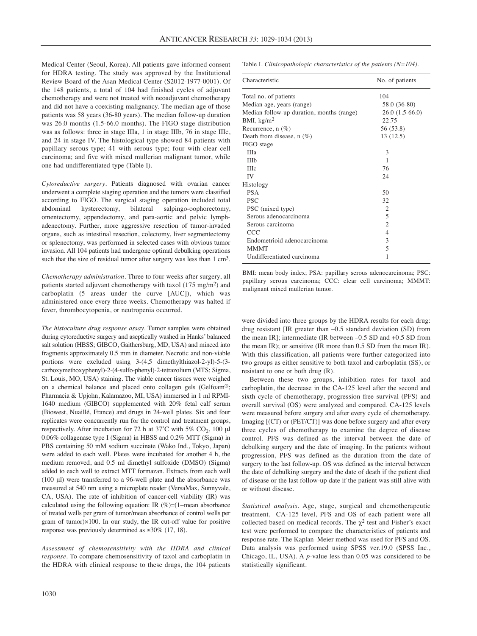Medical Center (Seoul, Korea). All patients gave informed consent for HDRA testing. The study was approved by the Institutional Review Board of the Asan Medical Center (S2012-1977-0001). Of the 148 patients, a total of 104 had finished cycles of adjuvant chemotherapy and were not treated with neoadjuvant chemotherapy and did not have a coexisting malignancy. The median age of those patients was 58 years (36-80 years). The median follow-up duration was 26.0 months (1.5-66.0 months). The FIGO stage distribution was as follows: three in stage IIIa, 1 in stage IIIb, 76 in stage IIIc, and 24 in stage IV. The histological type showed 84 patients with papillary serous type; 41 with serous type; four with clear cell carcinoma; and five with mixed mullerian malignant tumor, while one had undifferentiated type (Table I).

*Cytoreductive surgery*. Patients diagnosed with ovarian cancer underwent a complete staging operation and the tumors were classified according to FIGO. The surgical staging operation included total<br>abdominal hysterectomy, bilateral salpingo-oophorectomy, abdominal hysterectomy, bilateral salpingo-oophorectomy, omentectomy, appendectomy, and para-aortic and pelvic lymphadenectomy. Further, more aggressive resection of tumor-invaded organs, such as intestinal resection, colectomy, liver segmentectomy or splenectomy, was performed in selected cases with obvious tumor invasion. All 104 patients had undergone optimal debulking operations such that the size of residual tumor after surgery was less than 1 cm<sup>3</sup>.

*Chemotherapy administration.* Three to four weeks after surgery, all patients started adjuvant chemotherapy with taxol (175 mg/m2) and carboplatin (5 areas under the curve [AUC]), which was administered once every three weeks. Chemotherapy was halted if fever, thrombocytopenia, or neutropenia occurred.

*The histoculture drug response assay*. Tumor samples were obtained during cytoreductive surgery and aseptically washed in Hanks' balanced salt solution (HBSS; GIBCO, Gaithersburg, MD, USA) and minced into fragments approximately 0.5 mm in diameter. Necrotic and non-viable portions were excluded using 3-(4,5 dimethylthiazol-2-yl)-5-(3 carboxymethoxyphenyl)-2-(4-sulfo-phenyl)-2-tetrazolium (MTS; Sigma, St. Louis, MO, USA) staining. The viable cancer tissues were weighed on a chemical balance and placed onto collagen gels (Gelfoam®; Pharmacia & Upjohn, Kalamazoo, MI, USA) immersed in 1 ml RPMI-1640 medium (GIBCO) supplemented with 20% fetal calf serum (Biowest, Nuaillé, France) and drugs in 24-well plates. Six and four replicates were concurrently run for the control and treatment groups, respectively. After incubation for 72 h at  $37^{\circ}$ C with 5% CO<sub>2</sub>, 100 µl 0.06% collagenase type I (Sigma) in HBSS and 0.2% MTT (Sigma) in PBS containing 50 mM sodium succinate (Wako Ind., Tokyo, Japan) were added to each well. Plates were incubated for another 4 h, the medium removed, and 0.5 ml dimethyl sulfoxide (DMSO) (Sigma) added to each well to extract MTT formazan. Extracts from each well (100 μl) were transferred to a 96-well plate and the absorbance was measured at 540 nm using a microplate reader (VersaMax, Sunnyvale, CA, USA). The rate of inhibition of cancer-cell viability (IR) was calculated using the following equation: IR (%)=(1−mean absorbance of treated wells per gram of tumor/mean absorbance of control wells per gram of tumor)×100. In our study, the IR cut-off value for positive response was previously determined as ≥30% (17, 18).

*Assessment of chemosensitivity with the HDRA and clinical response.* To compare chemosensitivity of taxol and carboplatin in the HDRA with clinical response to these drugs, the 104 patients Table I. *Clinicopathologic characteristics of the patients (N=104).*

| Characteristic                            | No. of patients<br>104 |  |
|-------------------------------------------|------------------------|--|
| Total no. of patients                     |                        |  |
| Median age, years (range)                 | 58.0 (36-80)           |  |
| Median follow-up duration, months (range) | $26.0(1.5-66.0)$       |  |
| BMI, $\text{kg/m}^2$                      | 22.75                  |  |
| Recurrence, $n$ (%)                       | 56 (53.8)              |  |
| Death from disease, $n$ (%)               | 13 (12.5)              |  |
| FIGO stage                                |                        |  |
| <b>IIIa</b>                               | 3                      |  |
| <b>IIIb</b>                               | 1                      |  |
| <b>IIIc</b>                               | 76                     |  |
| IV                                        | 24                     |  |
| Histology                                 |                        |  |
| <b>PSA</b>                                | 50                     |  |
| <b>PSC</b>                                | 32                     |  |
| PSC (mixed type)                          | $\overline{2}$         |  |
| Serous adenocarcinoma                     | 5                      |  |
| Serous carcinoma                          | 2                      |  |
| <b>CCC</b>                                | $\overline{4}$         |  |
| Endometrioid adenocarcinoma               | 3                      |  |
| <b>MMMT</b>                               | 5                      |  |
| Undifferentiated carcinoma                | 1                      |  |

BMI: mean body index; PSA: papillary serous adenocarcinoma; PSC: papillary serous carcinoma; CCC: clear cell carcinoma; MMMT: malignant mixed mullerian tumor.

were divided into three groups by the HDRA results for each drug: drug resistant [IR greater than –0.5 standard deviation (SD) from the mean IR]; intermediate (IR between –0.5 SD and +0.5 SD from the mean IR); or sensitive (IR more than 0.5 SD from the mean IR). With this classification, all patients were further categorized into two groups as either sensitive to both taxol and carboplatin (SS), or resistant to one or both drug (R).

Between these two groups, inhibition rates for taxol and carboplatin, the decrease in the CA-125 level after the second and sixth cycle of chemotherapy, progression free survival (PFS) and overall survival (OS) were analyzed and compared. CA-125 levels were measured before surgery and after every cycle of chemotherapy. Imaging [(CT) or (PET/CT)] was done before surgery and after every three cycles of chemotherapy to examine the degree of disease control. PFS was defined as the interval between the date of debulking surgery and the date of imaging. In the patients without progression, PFS was defined as the duration from the date of surgery to the last follow-up. OS was defined as the interval between the date of debulking surgery and the date of death if the patient died of disease or the last follow-up date if the patient was still alive with or without disease.

*Statistical analysis.* Age, stage, surgical and chemotherapeutic treatment, CA-125 level, PFS and OS of each patient were all collected based on medical records. The  $\chi^2$  test and Fisher's exact test were performed to compare the characteristics of patients and response rate. The Kaplan–Meier method was used for PFS and OS. Data analysis was performed using SPSS ver.19.0 (SPSS Inc., Chicago, IL, USA). A *p*-value less than 0.05 was considered to be statistically significant.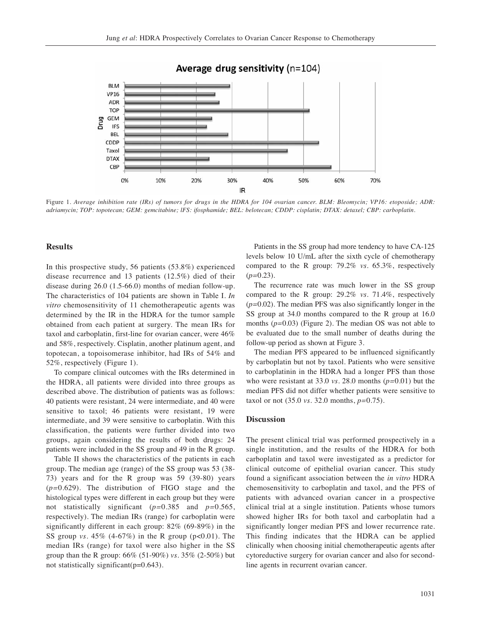

Average drug sensitivity (n=104)

Figure 1. *Average inhibition rate (IRs) of tumors for drugs in the HDRA for 104 ovarian cancer. BLM: Bleomycin; VP16: etoposide; ADR: adriamycin; TOP: topotecan; GEM: gemcitabine; lFS: ifosphamide; BEL: belotecan; CDDP: cisplatin; DTAX: detaxel; CBP: carboplatin.*

## **Results**

In this prospective study, 56 patients (53.8%) experienced disease recurrence and 13 patients (12.5%) died of their disease during 26.0 (1.5-66.0) months of median follow-up. The characteristics of 104 patients are shown in Table I. *In vitro* chemosensitivity of 11 chemotherapeutic agents was determined by the IR in the HDRA for the tumor sample obtained from each patient at surgery. The mean IRs for taxol and carboplatin, first-line for ovarian cancer, were 46% and 58%, respectively. Cisplatin, another platinum agent, and topotecan, a topoisomerase inhibitor, had IRs of 54% and 52%, respectively (Figure 1).

To compare clinical outcomes with the IRs determined in the HDRA, all patients were divided into three groups as described above. The distribution of patients was as follows: 40 patients were resistant, 24 were intermediate, and 40 were sensitive to taxol; 46 patients were resistant, 19 were intermediate, and 39 were sensitive to carboplatin. With this classification, the patients were further divided into two groups, again considering the results of both drugs: 24 patients were included in the SS group and 49 in the R group.

Table II shows the characteristics of the patients in each group. The median age (range) of the SS group was 53 (38- 73) years and for the R group was 59 (39-80) years (*p=*0.629). The distribution of FIGO stage and the histological types were different in each group but they were not statistically significant (*p=*0.385 and *p=*0.565, respectively). The median IRs (range) for carboplatin were significantly different in each group: 82% (69-89%) in the SS group *vs.* 45% (4-67%) in the R group (p<0.01). The median IRs (range) for taxol were also higher in the SS group than the R group: 66% (51-90%) *vs.* 35% (2-50%) but not statistically significant(p=0.643).

Patients in the SS group had more tendency to have CA-125 levels below 10 U/mL after the sixth cycle of chemotherapy compared to the R group: 79.2% *vs.* 65.3%, respectively (*p=*0.23).

The recurrence rate was much lower in the SS group compared to the R group: 29.2% *vs.* 71.4%, respectively (*p=*0.02). The median PFS was also significantly longer in the SS group at 34.0 months compared to the R group at 16.0 months (*p=*0.03) (Figure 2). The median OS was not able to be evaluated due to the small number of deaths during the follow-up period as shown at Figure 3.

The median PFS appeared to be influenced significantly by carboplatin but not by taxol. Patients who were sensitive to carboplatinin in the HDRA had a longer PFS than those who were resistant at 33.0 *vs.* 28.0 months (*p=*0.01) but the median PFS did not differ whether patients were sensitive to taxol or not (35.0 *vs.* 32.0 months, *p=*0.75).

### **Discussion**

The present clinical trial was performed prospectively in a single institution, and the results of the HDRA for both carboplatin and taxol were investigated as a predictor for clinical outcome of epithelial ovarian cancer. This study found a significant association between the *in vitro* HDRA chemosensitivity to carboplatin and taxol, and the PFS of patients with advanced ovarian cancer in a prospective clinical trial at a single institution. Patients whose tumors showed higher IRs for both taxol and carboplatin had a significantly longer median PFS and lower recurrence rate. This finding indicates that the HDRA can be applied clinically when choosing initial chemotherapeutic agents after cytoreductive surgery for ovarian cancer and also for secondline agents in recurrent ovarian cancer.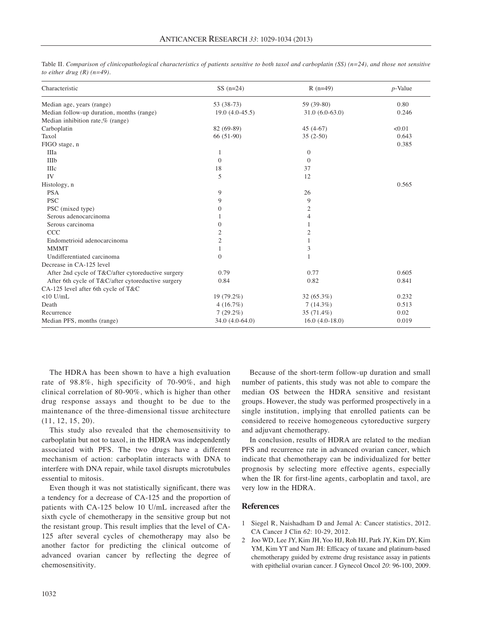| Characteristic                                     | $SS(n=24)$       | $R(n=49)$        | $p$ -Value |
|----------------------------------------------------|------------------|------------------|------------|
| Median age, years (range)                          | $53(38-73)$      | 59 (39-80)       | 0.80       |
| Median follow-up duration, months (range)          | $19.0(4.0-45.5)$ | $31.0(6.0-63.0)$ | 0.246      |
| Median inhibition rate,% (range)                   |                  |                  |            |
| Carboplatin                                        | 82 (69-89)       | $45(4-67)$       | < 0.01     |
| Taxol                                              | $66(51-90)$      | $35(2-50)$       | 0.643      |
| FIGO stage, n                                      |                  |                  | 0.385      |
| IIIa                                               | 1                | $\theta$         |            |
| IIIb                                               | $\overline{0}$   | $\theta$         |            |
| IIIc                                               | 18               | 37               |            |
| IV                                                 | 5                | 12               |            |
| Histology, n                                       |                  |                  | 0.565      |
| <b>PSA</b>                                         | 9                | 26               |            |
| <b>PSC</b>                                         | 9                | 9                |            |
| PSC (mixed type)                                   | $\overline{0}$   | $\mathfrak{2}$   |            |
| Serous adenocarcinoma                              |                  | 4                |            |
| Serous carcinoma                                   | $\mathbf{0}$     | 1                |            |
| <b>CCC</b>                                         | $\overline{2}$   | 2                |            |
| Endometrioid adenocarcinoma                        | $\overline{2}$   |                  |            |
| <b>MMMT</b>                                        | 1                | 3                |            |
| Undifferentiated carcinoma                         | $\mathbf{0}$     | 1                |            |
| Decrease in CA-125 level                           |                  |                  |            |
| After 2nd cycle of T&C/after cytoreductive surgery | 0.79             | 0.77             | 0.605      |
| After 6th cycle of T&C/after cytoreductive surgery | 0.84             | 0.82             | 0.841      |
| CA-125 level after 6th cycle of T&C                |                  |                  |            |
| $<$ 10 U/mL                                        | 19 (79.2%)       | 32(65.3%)        | 0.232      |
| Death                                              | 4(16.7%)         | $7(14.3\%)$      | 0.513      |
| Recurrence                                         | $7(29.2\%)$      | 35 (71.4%)       | 0.02       |
| Median PFS, months (range)                         | 34.0 (4.0-64.0)  | $16.0(4.0-18.0)$ | 0.019      |

Table II. *Comparison of clinicopathological characteristics of patients sensitive to both taxol and carboplatin (SS) (n=24), and those not sensitive to either drug (R) (n=49).*

The HDRA has been shown to have a high evaluation rate of 98.8%, high specificity of 70-90%, and high clinical correlation of 80-90%, which is higher than other drug response assays and thought to be due to the maintenance of the three-dimensional tissue architecture (11, 12, 15, 20).

This study also revealed that the chemosensitivity to carboplatin but not to taxol, in the HDRA was independently associated with PFS. The two drugs have a different mechanism of action: carboplatin interacts with DNA to interfere with DNA repair, while taxol disrupts microtubules essential to mitosis.

Even though it was not statistically significant, there was a tendency for a decrease of CA-125 and the proportion of patients with CA-125 below 10 U/mL increased after the sixth cycle of chemotherapy in the sensitive group but not the resistant group. This result implies that the level of CA-125 after several cycles of chemotherapy may also be another factor for predicting the clinical outcome of advanced ovarian cancer by reflecting the degree of chemosensitivity.

Because of the short-term follow-up duration and small number of patients, this study was not able to compare the median OS between the HDRA sensitive and resistant groups. However, the study was performed prospectively in a single institution, implying that enrolled patients can be considered to receive homogeneous cytoreductive surgery and adjuvant chemotherapy.

In conclusion, results of HDRA are related to the median PFS and recurrence rate in advanced ovarian cancer, which indicate that chemotherapy can be individualized for better prognosis by selecting more effective agents, especially when the IR for first-line agents, carboplatin and taxol, are very low in the HDRA.

#### **References**

- 1 Siegel R, Naishadham D and Jemal A: Cancer statistics, 2012. CA Cancer J Clin *62*: 10-29, 2012.
- 2 Joo WD, Lee JY, Kim JH, Yoo HJ, Roh HJ, Park JY, Kim DY, Kim YM, Kim YT and Nam JH: Efficacy of taxane and platinum-based chemotherapy guided by extreme drug resistance assay in patients with epithelial ovarian cancer. J Gynecol Oncol *20*: 96-100, 2009.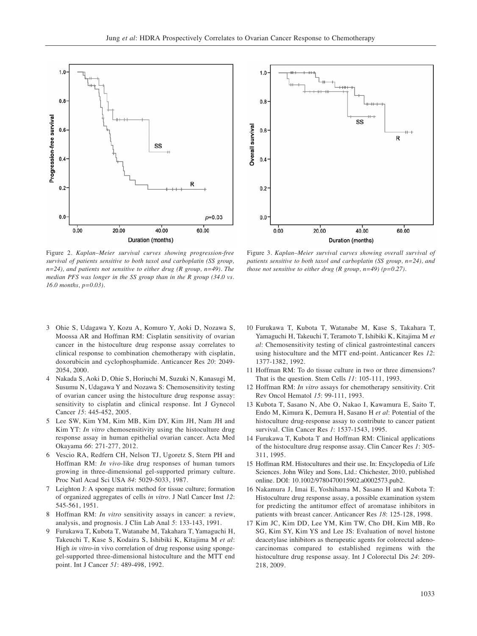

Figure 2. *Kaplan–Meier survival curves showing progression-free survival of patients sensitive to both taxol and carboplatin (SS group, n=24), and patients not sensitive to either drug (R group, n=49). The median PFS was longer in the SS group than in the R group (34.0 vs. 16.0 months, p=0.03).*



Figure 3. *Kaplan–Meier survival curves showing overall survival of patients sensitive to both taxol and carboplatin (SS group, n=24), and those not sensitive to either drug (R group, n=49) (p=0.27).* 

- 3 Ohie S, Udagawa Y, Kozu A, Komuro Y, Aoki D, Nozawa S, Moossa AR and Hoffman RM: Cisplatin sensitivity of ovarian cancer in the histoculture drug response assay correlates to clinical response to combination chemotherapy with cisplatin, doxorubicin and cyclophosphamide. Anticancer Res *20*: 2049- 2054, 2000.
- 4 Nakada S, Aoki D, Ohie S, Horiuchi M, Suzuki N, Kanasugi M, Susumu N, Udagawa Y and Nozawa S: Chemosensitivity testing of ovarian cancer using the histoculture drug response assay: sensitivity to cisplatin and clinical response. Int J Gynecol Cancer *15*: 445-452, 2005.
- 5 Lee SW, Kim YM, Kim MB, Kim DY, Kim JH, Nam JH and Kim YT: *In vitro* chemosensitivity using the histoculture drug response assay in human epithelial ovarian cancer. Acta Med Okayama *66*: 271-277, 2012.
- 6 Vescio RA, Redfern CH, Nelson TJ, Ugoretz S, Stern PH and Hoffman RM: *In vivo*-like drug responses of human tumors growing in three-dimensional gel-supported primary culture. Proc Natl Acad Sci USA *84*: 5029-5033, 1987.
- 7 Leighton J: A sponge matrix method for tissue culture; formation of organized aggregates of cells *in vitro*. J Natl Cancer Inst *12*: 545-561, 1951.
- 8 Hoffman RM: *In vitro* sensitivity assays in cancer: a review, analysis, and prognosis. J Clin Lab Anal *5*: 133-143, 1991.
- 9 Furukawa T, Kubota T, Watanabe M, Takahara T, Yamaguchi H, Takeuchi T, Kase S, Kodaira S, Ishibiki K, Kitajima M *et al*: High *in vitro*-in vivo correlation of drug response using spongegel-supported three-dimensional histoculture and the MTT end point. Int J Cancer *51*: 489-498, 1992.
- 10 Furukawa T, Kubota T, Watanabe M, Kase S, Takahara T, Yamaguchi H, Takeuchi T, Teramoto T, Ishibiki K, Kitajima M *et al*: Chemosensitivity testing of clinical gastrointestinal cancers using histoculture and the MTT end-point. Anticancer Res *12*: 1377-1382, 1992.
- 11 Hoffman RM: To do tissue culture in two or three dimensions? That is the question. Stem Cells *11*: 105-111, 1993.
- 12 Hoffman RM: *In vitro* assays for chemotherapy sensitivity. Crit Rev Oncol Hematol *15*: 99-111, 1993.
- 13 Kubota T, Sasano N, Abe O, Nakao I, Kawamura E, Saito T, Endo M, Kimura K, Demura H, Sasano H *et al*: Potential of the histoculture drug-response assay to contribute to cancer patient survival. Clin Cancer Res *1*: 1537-1543, 1995.
- 14 Furukawa T, Kubota T and Hoffman RM: Clinical applications of the histoculture drug response assay. Clin Cancer Res *1*: 305- 311, 1995.
- 15 Hoffman RM. Histocultures and their use. In: Encyclopedia of Life Sciences. John Wiley and Sons, Ltd.: Chichester, 2010, published online. DOI: 10.1002/9780470015902.a0002573.pub2.
- 16 Nakamura J, Imai E, Yoshihama M, Sasano H and Kubota T: Histoculture drug response assay, a possible examination system for predicting the antitumor effect of aromatase inhibitors in patients with breast cancer. Anticancer Res *18*: 125-128, 1998.
- 17 Kim JC, Kim DD, Lee YM, Kim TW, Cho DH, Kim MB, Ro SG, Kim SY, Kim YS and Lee JS: Evaluation of novel histone deacetylase inhibitors as therapeutic agents for colorectal adenocarcinomas compared to established regimens with the histoculture drug response assay. Int J Colorectal Dis *24*: 209- 218, 2009.